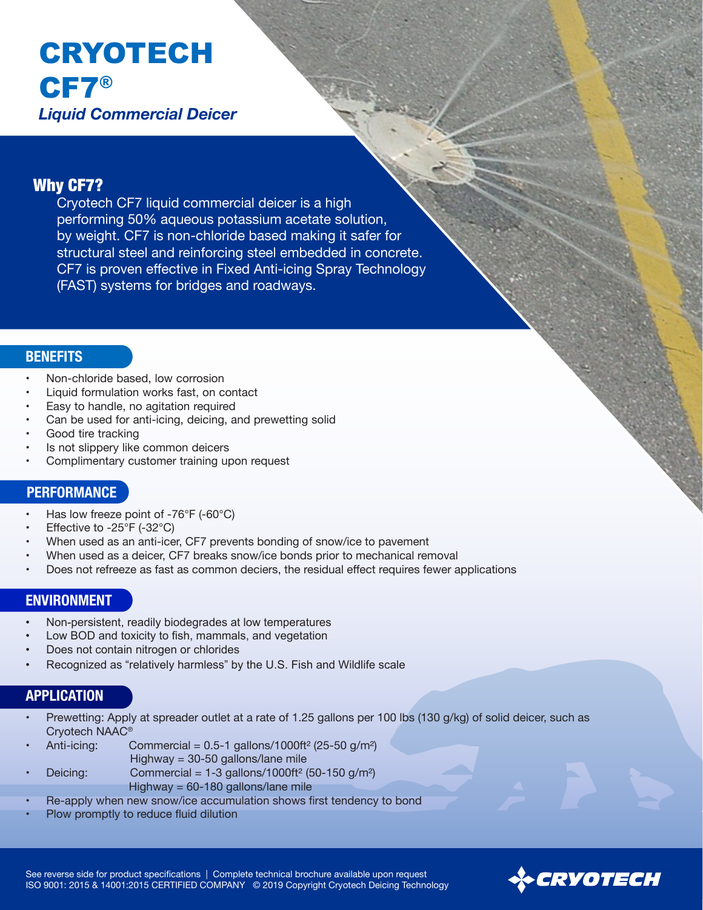# CRYOTECH CF7® *Liquid Commercial Deicer*

### Why CF7?

Cryotech CF7 liquid commercial deicer is a high performing 50% aqueous potassium acetate solution, by weight. CF7 is non-chloride based making it safer for structural steel and reinforcing steel embedded in concrete. CF7 is proven effective in Fixed Anti-icing Spray Technology (FAST) systems for bridges and roadways.

#### **BENEFITS**

- Non-chloride based, low corrosion
- Liquid formulation works fast, on contact
- Easy to handle, no agitation required
- Can be used for anti-icing, deicing, and prewetting solid
- Good tire tracking
- Is not slippery like common deicers
- Complimentary customer training upon request

#### **PERFORMANCE**

- Has low freeze point of -76°F (-60°C)
- Effective to -25°F (-32°C)
- When used as an anti-icer, CF7 prevents bonding of snow/ice to pavement
- When used as a deicer, CF7 breaks snow/ice bonds prior to mechanical removal
- Does not refreeze as fast as common deciers, the residual effect requires fewer applications

#### **ENVIRONMENT**

- Non-persistent, readily biodegrades at low temperatures
- Low BOD and toxicity to fish, mammals, and vegetation
- Does not contain nitrogen or chlorides
- Recognized as "relatively harmless" by the U.S. Fish and Wildlife scale

## **APPLICATION**

- Prewetting: Apply at spreader outlet at a rate of 1.25 gallons per 100 lbs (130 g/kg) of solid deicer, such as Cryotech NAAC®
- Anti-icing: Commercial =  $0.5$ -1 gallons/1000ft<sup>2</sup> (25-50 g/m<sup>2</sup>)
- Highway = 30-50 gallons/lane mile

Deicing: Commercial =  $1-3$  gallons/1000ft<sup>2</sup> (50-150 g/m<sup>2</sup>) Highway = 60-180 gallons/lane mile

- Re-apply when new snow/ice accumulation shows first tendency to bond
- Plow promptly to reduce fluid dilution

See reverse side for product specifications | Complete technical brochure available upon request ISO 9001: 2015 & 14001:2015 CERTIFIED COMPANY © 2019 Copyright Cryotech Deicing Technology